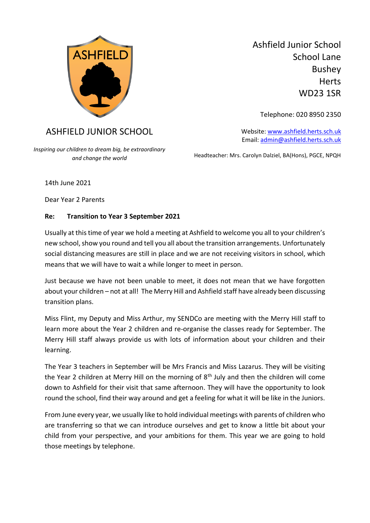

Ashfield Junior School School Lane Bushey **Herts** WD23 1SR

Telephone: 020 8950 2350

Website[: www.ashfield.herts.sch.uk](http://www.ashfield.herts.sch.uk/) Email: [admin@ashfield.herts.sch.uk](mailto:admin@ashfield.herts.sch.uk)

Headteacher: Mrs. Carolyn Dalziel, BA(Hons), PGCE, NPQH

ASHFIELD JUNIOR SCHOOL

*Inspiring our children to dream big, be extraordinary and change the world*

14th June 2021

Dear Year 2 Parents

## **Re: Transition to Year 3 September 2021**

Usually at this time of year we hold a meeting at Ashfield to welcome you all to your children's new school, show you round and tell you all about the transition arrangements. Unfortunately social distancing measures are still in place and we are not receiving visitors in school, which means that we will have to wait a while longer to meet in person.

Just because we have not been unable to meet, it does not mean that we have forgotten about your children – not at all! The Merry Hill and Ashfield staff have already been discussing transition plans.

Miss Flint, my Deputy and Miss Arthur, my SENDCo are meeting with the Merry Hill staff to learn more about the Year 2 children and re-organise the classes ready for September. The Merry Hill staff always provide us with lots of information about your children and their learning.

The Year 3 teachers in September will be Mrs Francis and Miss Lazarus. They will be visiting the Year 2 children at Merry Hill on the morning of  $8<sup>th</sup>$  July and then the children will come down to Ashfield for their visit that same afternoon. They will have the opportunity to look round the school, find their way around and get a feeling for what it will be like in the Juniors.

From June every year, we usually like to hold individual meetings with parents of children who are transferring so that we can introduce ourselves and get to know a little bit about your child from your perspective, and your ambitions for them. This year we are going to hold those meetings by telephone.